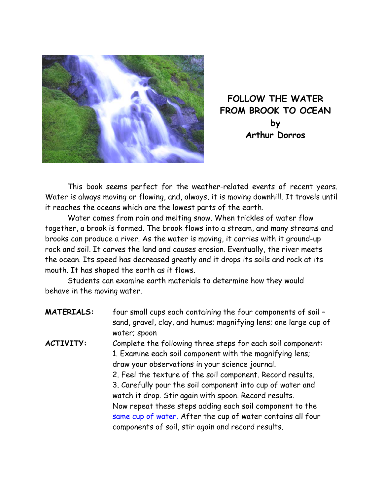

**FOLLOW THE WATER FROM BROOK TO OCEAN by Arthur Dorros** 

This book seems perfect for the weather-related events of recent years. Water is always moving or flowing, and, always, it is moving downhill. It travels until it reaches the oceans which are the lowest parts of the earth.

Water comes from rain and melting snow. When trickles of water flow together, a brook is formed. The brook flows into a stream, and many streams and brooks can produce a river. As the water is moving, it carries with it ground-up rock and soil. It carves the land and causes erosion. Eventually, the river meets the ocean. Its speed has decreased greatly and it drops its soils and rock at its mouth. It has shaped the earth as it flows.

Students can examine earth materials to determine how they would behave in the moving water.

| <b>MATERIALS:</b> | four small cups each containing the four components of soil -<br>sand, gravel, clay, and humus; magnifying lens; one large cup of<br>water; spoon                                                                                                                                                                                                                                                                                                                                                                                                |
|-------------------|--------------------------------------------------------------------------------------------------------------------------------------------------------------------------------------------------------------------------------------------------------------------------------------------------------------------------------------------------------------------------------------------------------------------------------------------------------------------------------------------------------------------------------------------------|
| <b>ACTIVITY:</b>  | Complete the following three steps for each soil component:<br>1. Examine each soil component with the magnifying lens;<br>draw your observations in your science journal.<br>2. Feel the texture of the soil component. Record results.<br>3. Carefully pour the soil component into cup of water and<br>watch it drop. Stir again with spoon. Record results.<br>Now repeat these steps adding each soil component to the<br>same cup of water. After the cup of water contains all four<br>components of soil, stir again and record results. |